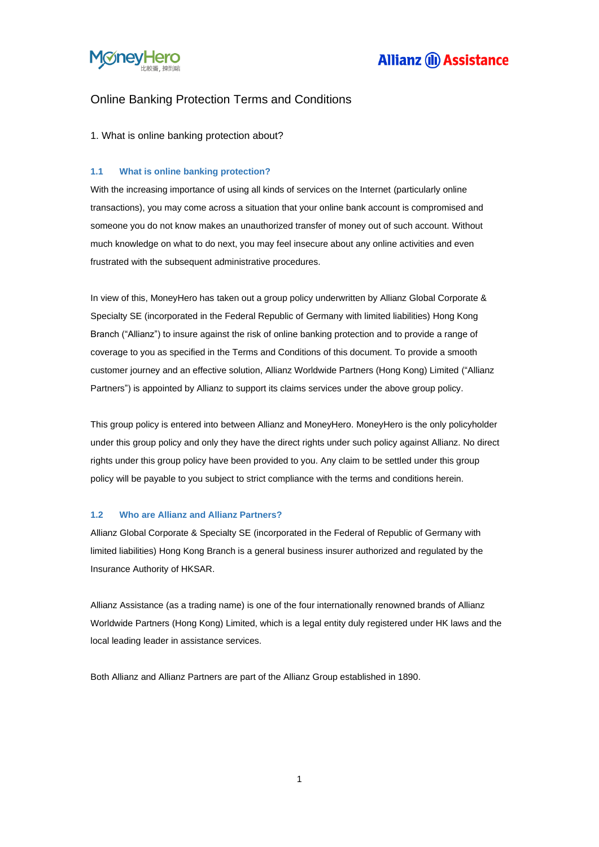

### Online Banking Protection Terms and Conditions

1. What is online banking protection about?

#### **1.1 What is online banking protection?**

With the increasing importance of using all kinds of services on the Internet (particularly online transactions), you may come across a situation that your online bank account is compromised and someone you do not know makes an unauthorized transfer of money out of such account. Without much knowledge on what to do next, you may feel insecure about any online activities and even frustrated with the subsequent administrative procedures.

In view of this, MoneyHero has taken out a group policy underwritten by Allianz Global Corporate & Specialty SE (incorporated in the Federal Republic of Germany with limited liabilities) Hong Kong Branch ("Allianz") to insure against the risk of online banking protection and to provide a range of coverage to you as specified in the Terms and Conditions of this document. To provide a smooth customer journey and an effective solution, Allianz Worldwide Partners (Hong Kong) Limited ("Allianz Partners") is appointed by Allianz to support its claims services under the above group policy.

This group policy is entered into between Allianz and MoneyHero. MoneyHero is the only policyholder under this group policy and only they have the direct rights under such policy against Allianz. No direct rights under this group policy have been provided to you. Any claim to be settled under this group policy will be payable to you subject to strict compliance with the terms and conditions herein.

### **1.2 Who are Allianz and Allianz Partners?**

Allianz Global Corporate & Specialty SE (incorporated in the Federal of Republic of Germany with limited liabilities) Hong Kong Branch is a general business insurer authorized and regulated by the Insurance Authority of HKSAR.

Allianz Assistance (as a trading name) is one of the four internationally renowned brands of Allianz Worldwide Partners (Hong Kong) Limited, which is a legal entity duly registered under HK laws and the local leading leader in assistance services.

Both Allianz and Allianz Partners are part of the Allianz Group established in 1890.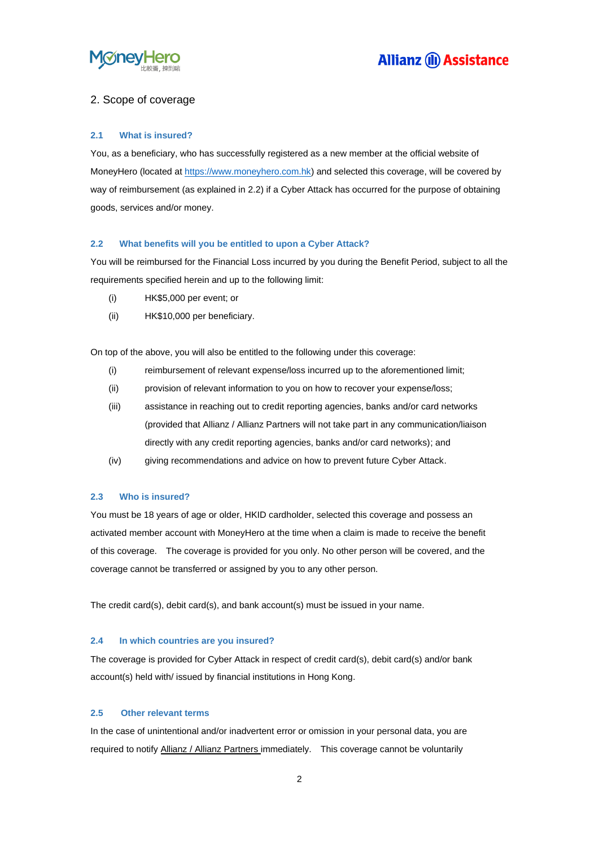

### 2. Scope of coverage

#### **2.1 What is insured?**

You, as a beneficiary, who has successfully registered as a new member at the official website of MoneyHero (located a[t https://www.moneyhero.com.hk\)](https://www.moneyhero.com.hk/) and selected this coverage, will be covered by way of reimbursement (as explained in 2.2) if a Cyber Attack has occurred for the purpose of obtaining goods, services and/or money.

#### **2.2 What benefits will you be entitled to upon a Cyber Attack?**

You will be reimbursed for the Financial Loss incurred by you during the Benefit Period, subject to all the requirements specified herein and up to the following limit:

- (i) HK\$5,000 per event; or
- (ii) HK\$10,000 per beneficiary.

On top of the above, you will also be entitled to the following under this coverage:

- (i) reimbursement of relevant expense/loss incurred up to the aforementioned limit;
- (ii) provision of relevant information to you on how to recover your expense/loss;
- (iii) assistance in reaching out to credit reporting agencies, banks and/or card networks (provided that Allianz / Allianz Partners will not take part in any communication/liaison directly with any credit reporting agencies, banks and/or card networks); and
- (iv) giving recommendations and advice on how to prevent future Cyber Attack.

#### **2.3 Who is insured?**

You must be 18 years of age or older, HKID cardholder, selected this coverage and possess an activated member account with MoneyHero at the time when a claim is made to receive the benefit of this coverage. The coverage is provided for you only. No other person will be covered, and the coverage cannot be transferred or assigned by you to any other person.

The credit card(s), debit card(s), and bank account(s) must be issued in your name.

#### **2.4 In which countries are you insured?**

The coverage is provided for Cyber Attack in respect of credit card(s), debit card(s) and/or bank account(s) held with/ issued by financial institutions in Hong Kong.

#### **2.5 Other relevant terms**

In the case of unintentional and/or inadvertent error or omission in your personal data, you are required to notify Allianz / Allianz Partners immediately. This coverage cannot be voluntarily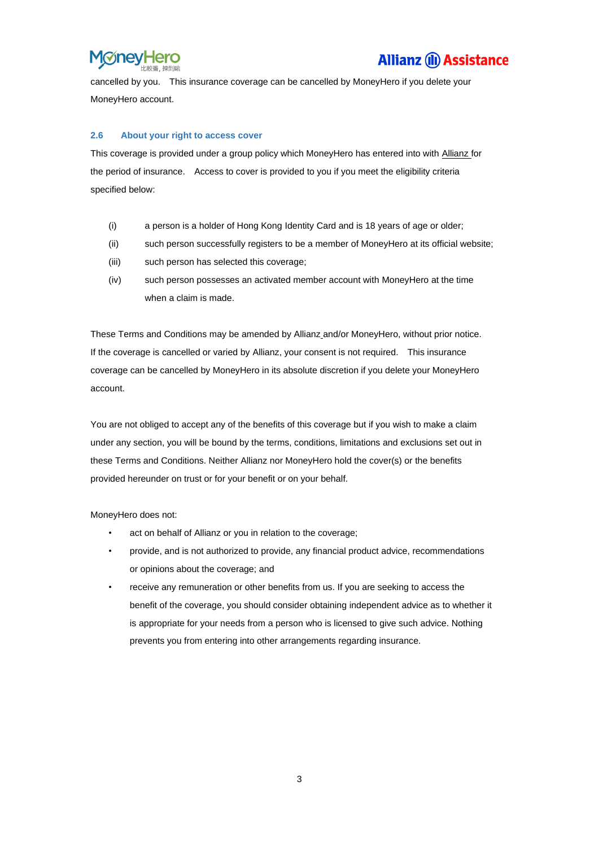

cancelled by you. This insurance coverage can be cancelled by MoneyHero if you delete your MoneyHero account.

#### **2.6 About your right to access cover**

This coverage is provided under a group policy which MoneyHero has entered into with Allianz for the period of insurance. Access to cover is provided to you if you meet the eligibility criteria specified below:

- (i) a person is a holder of Hong Kong Identity Card and is 18 years of age or older;
- (ii) such person successfully registers to be a member of MoneyHero at its official website;
- (iii) such person has selected this coverage;
- (iv) such person possesses an activated member account with MoneyHero at the time when a claim is made.

These Terms and Conditions may be amended by Allianz and/or MoneyHero, without prior notice. If the coverage is cancelled or varied by Allianz, your consent is not required. This insurance coverage can be cancelled by MoneyHero in its absolute discretion if you delete your MoneyHero account.

You are not obliged to accept any of the benefits of this coverage but if you wish to make a claim under any section, you will be bound by the terms, conditions, limitations and exclusions set out in these Terms and Conditions. Neither Allianz nor MoneyHero hold the cover(s) or the benefits provided hereunder on trust or for your benefit or on your behalf.

MoneyHero does not:

- act on behalf of Allianz or you in relation to the coverage;
- provide, and is not authorized to provide, any financial product advice, recommendations or opinions about the coverage; and
- receive any remuneration or other benefits from us. If you are seeking to access the benefit of the coverage, you should consider obtaining independent advice as to whether it is appropriate for your needs from a person who is licensed to give such advice. Nothing prevents you from entering into other arrangements regarding insurance.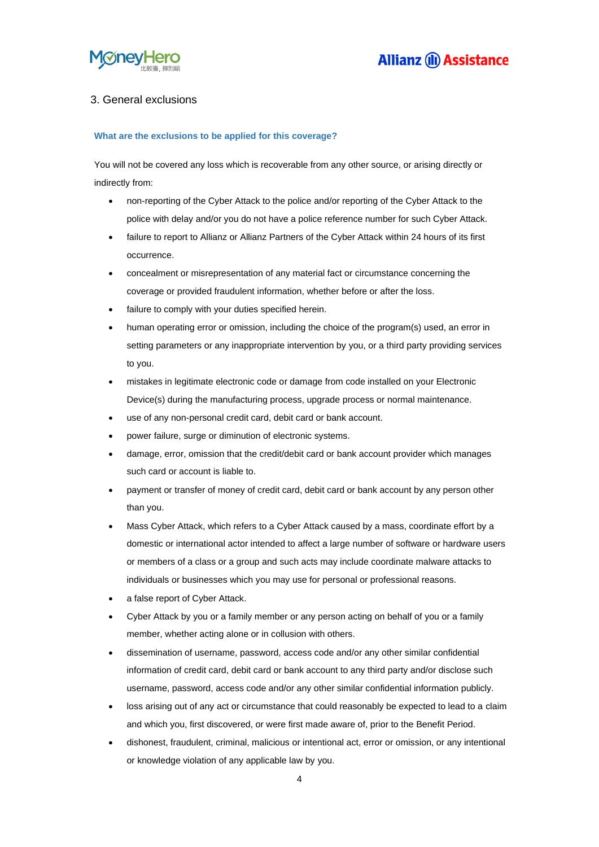

### 3. General exclusions

#### **What are the exclusions to be applied for this coverage?**

You will not be covered any loss which is recoverable from any other source, or arising directly or indirectly from:

- non-reporting of the Cyber Attack to the police and/or reporting of the Cyber Attack to the police with delay and/or you do not have a police reference number for such Cyber Attack.
- failure to report to Allianz or Allianz Partners of the Cyber Attack within 24 hours of its first occurrence.
- concealment or misrepresentation of any material fact or circumstance concerning the coverage or provided fraudulent information, whether before or after the loss.
- failure to comply with your duties specified herein.
- human operating error or omission, including the choice of the program(s) used, an error in setting parameters or any inappropriate intervention by you, or a third party providing services to you.
- mistakes in legitimate electronic code or damage from code installed on your Electronic Device(s) during the manufacturing process, upgrade process or normal maintenance.
- use of any non-personal credit card, debit card or bank account.
- power failure, surge or diminution of electronic systems.
- damage, error, omission that the credit/debit card or bank account provider which manages such card or account is liable to.
- payment or transfer of money of credit card, debit card or bank account by any person other than you.
- Mass Cyber Attack, which refers to a Cyber Attack caused by a mass, coordinate effort by a domestic or international actor intended to affect a large number of software or hardware users or members of a class or a group and such acts may include coordinate malware attacks to individuals or businesses which you may use for personal or professional reasons.
- a false report of Cyber Attack.
- Cyber Attack by you or a family member or any person acting on behalf of you or a family member, whether acting alone or in collusion with others.
- dissemination of username, password, access code and/or any other similar confidential information of credit card, debit card or bank account to any third party and/or disclose such username, password, access code and/or any other similar confidential information publicly.
- loss arising out of any act or circumstance that could reasonably be expected to lead to a claim and which you, first discovered, or were first made aware of, prior to the Benefit Period.
- dishonest, fraudulent, criminal, malicious or intentional act, error or omission, or any intentional or knowledge violation of any applicable law by you.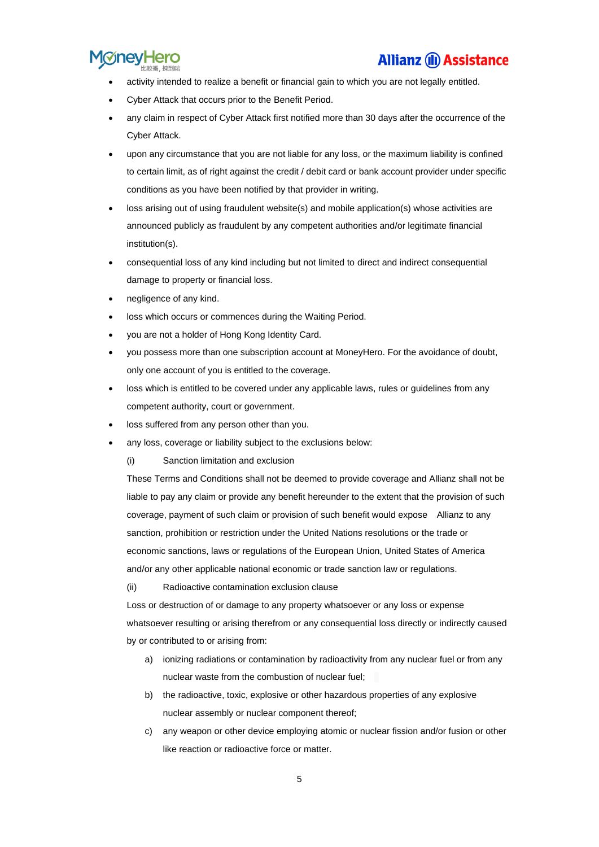

- activity intended to realize a benefit or financial gain to which you are not legally entitled.
- Cyber Attack that occurs prior to the Benefit Period.
- any claim in respect of Cyber Attack first notified more than 30 days after the occurrence of the Cyber Attack.
- upon any circumstance that you are not liable for any loss, or the maximum liability is confined to certain limit, as of right against the credit / debit card or bank account provider under specific conditions as you have been notified by that provider in writing.
- loss arising out of using fraudulent website(s) and mobile application(s) whose activities are announced publicly as fraudulent by any competent authorities and/or legitimate financial institution(s).
- consequential loss of any kind including but not limited to direct and indirect consequential damage to property or financial loss.
- negligence of any kind.
- loss which occurs or commences during the Waiting Period.
- you are not a holder of Hong Kong Identity Card.
- you possess more than one subscription account at MoneyHero. For the avoidance of doubt, only one account of you is entitled to the coverage.
- loss which is entitled to be covered under any applicable laws, rules or guidelines from any competent authority, court or government.
- loss suffered from any person other than you.
- any loss, coverage or liability subject to the exclusions below:
	- (i) Sanction limitation and exclusion

These Terms and Conditions shall not be deemed to provide coverage and Allianz shall not be liable to pay any claim or provide any benefit hereunder to the extent that the provision of such coverage, payment of such claim or provision of such benefit would expose Allianz to any sanction, prohibition or restriction under the United Nations resolutions or the trade or economic sanctions, laws or regulations of the European Union, United States of America and/or any other applicable national economic or trade sanction law or regulations.

#### (ii) Radioactive contamination exclusion clause

Loss or destruction of or damage to any property whatsoever or any loss or expense whatsoever resulting or arising therefrom or any consequential loss directly or indirectly caused by or contributed to or arising from:

- a) ionizing radiations or contamination by radioactivity from any nuclear fuel or from any nuclear waste from the combustion of nuclear fuel;
- b) the radioactive, toxic, explosive or other hazardous properties of any explosive nuclear assembly or nuclear component thereof;
- c) any weapon or other device employing atomic or nuclear fission and/or fusion or other like reaction or radioactive force or matter.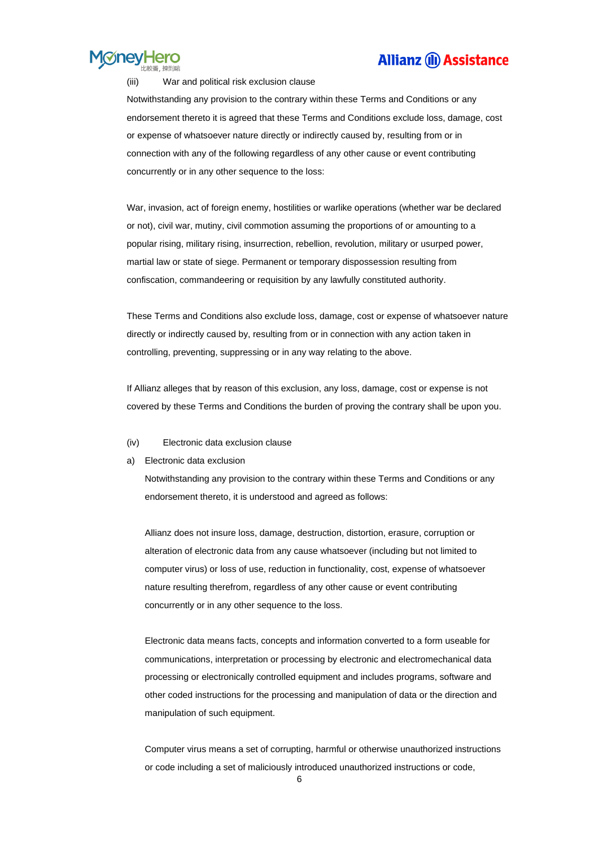

#### (iii) War and political risk exclusion clause

Notwithstanding any provision to the contrary within these Terms and Conditions or any endorsement thereto it is agreed that these Terms and Conditions exclude loss, damage, cost or expense of whatsoever nature directly or indirectly caused by, resulting from or in connection with any of the following regardless of any other cause or event contributing concurrently or in any other sequence to the loss:

War, invasion, act of foreign enemy, hostilities or warlike operations (whether war be declared or not), civil war, mutiny, civil commotion assuming the proportions of or amounting to a popular rising, military rising, insurrection, rebellion, revolution, military or usurped power, martial law or state of siege. Permanent or temporary dispossession resulting from confiscation, commandeering or requisition by any lawfully constituted authority.

These Terms and Conditions also exclude loss, damage, cost or expense of whatsoever nature directly or indirectly caused by, resulting from or in connection with any action taken in controlling, preventing, suppressing or in any way relating to the above.

If Allianz alleges that by reason of this exclusion, any loss, damage, cost or expense is not covered by these Terms and Conditions the burden of proving the contrary shall be upon you.

- (iv) Electronic data exclusion clause
- a) Electronic data exclusion

Notwithstanding any provision to the contrary within these Terms and Conditions or any endorsement thereto, it is understood and agreed as follows:

Allianz does not insure loss, damage, destruction, distortion, erasure, corruption or alteration of electronic data from any cause whatsoever (including but not limited to computer virus) or loss of use, reduction in functionality, cost, expense of whatsoever nature resulting therefrom, regardless of any other cause or event contributing concurrently or in any other sequence to the loss.

Electronic data means facts, concepts and information converted to a form useable for communications, interpretation or processing by electronic and electromechanical data processing or electronically controlled equipment and includes programs, software and other coded instructions for the processing and manipulation of data or the direction and manipulation of such equipment.

Computer virus means a set of corrupting, harmful or otherwise unauthorized instructions or code including a set of maliciously introduced unauthorized instructions or code,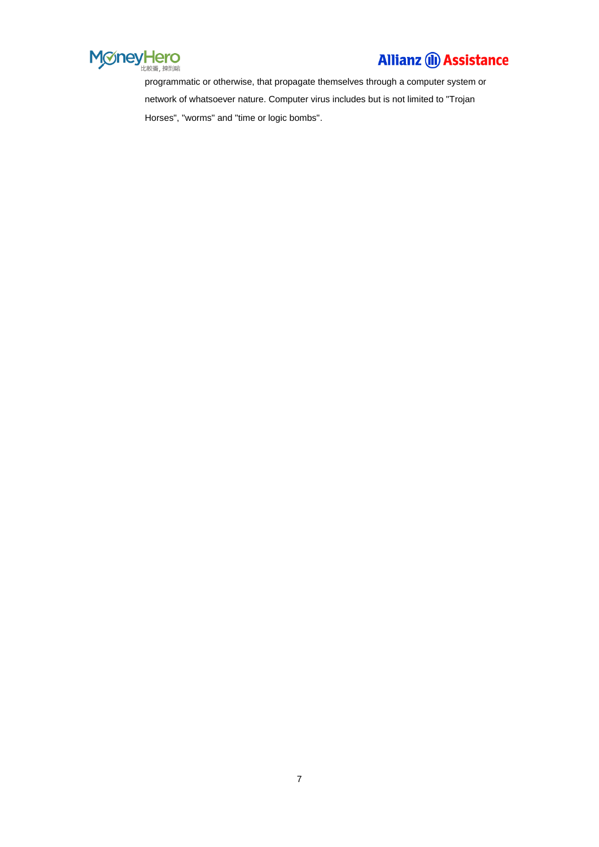

programmatic or otherwise, that propagate themselves through a computer system or network of whatsoever nature. Computer virus includes but is not limited to "Trojan Horses", "worms" and "time or logic bombs".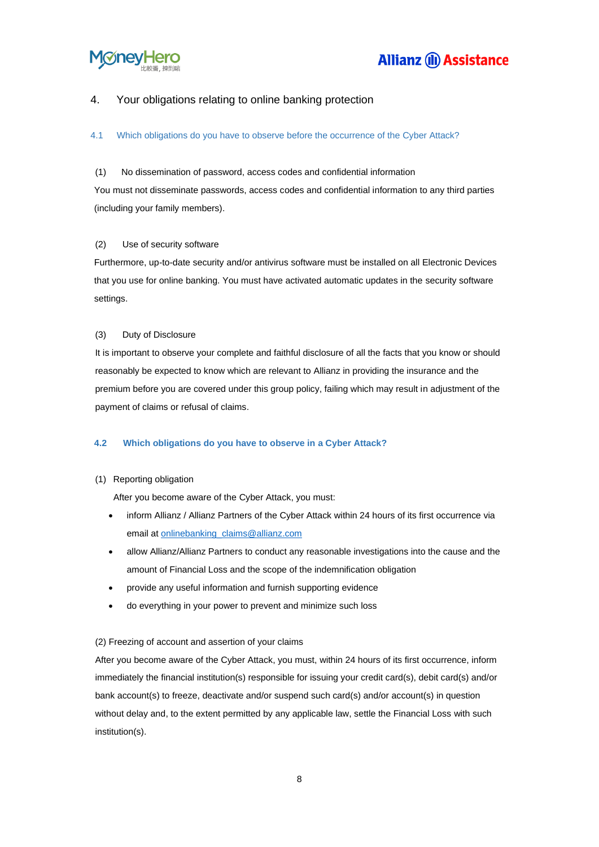

### 4. Your obligations relating to online banking protection

#### 4.1 Which obligations do you have to observe before the occurrence of the Cyber Attack?

#### (1) No dissemination of password, access codes and confidential information

You must not disseminate passwords, access codes and confidential information to any third parties (including your family members).

#### (2) Use of security software

Furthermore, up-to-date security and/or antivirus software must be installed on all Electronic Devices that you use for online banking. You must have activated automatic updates in the security software settings.

#### (3) Duty of Disclosure

It is important to observe your complete and faithful disclosure of all the facts that you know or should reasonably be expected to know which are relevant to Allianz in providing the insurance and the premium before you are covered under this group policy, failing which may result in adjustment of the payment of claims or refusal of claims.

#### **4.2 Which obligations do you have to observe in a Cyber Attack?**

#### (1) Reporting obligation

After you become aware of the Cyber Attack, you must:

- inform Allianz / Allianz Partners of the Cyber Attack within 24 hours of its first occurrence via email at [onlinebanking\\_claims@allianz.com](mailto:onlinebanking_claims@allianz.com)
- allow Allianz/Allianz Partners to conduct any reasonable investigations into the cause and the amount of Financial Loss and the scope of the indemnification obligation
- provide any useful information and furnish supporting evidence
- do everything in your power to prevent and minimize such loss

#### (2) Freezing of account and assertion of your claims

After you become aware of the Cyber Attack, you must, within 24 hours of its first occurrence, inform immediately the financial institution(s) responsible for issuing your credit card(s), debit card(s) and/or bank account(s) to freeze, deactivate and/or suspend such card(s) and/or account(s) in question without delay and, to the extent permitted by any applicable law, settle the Financial Loss with such institution(s).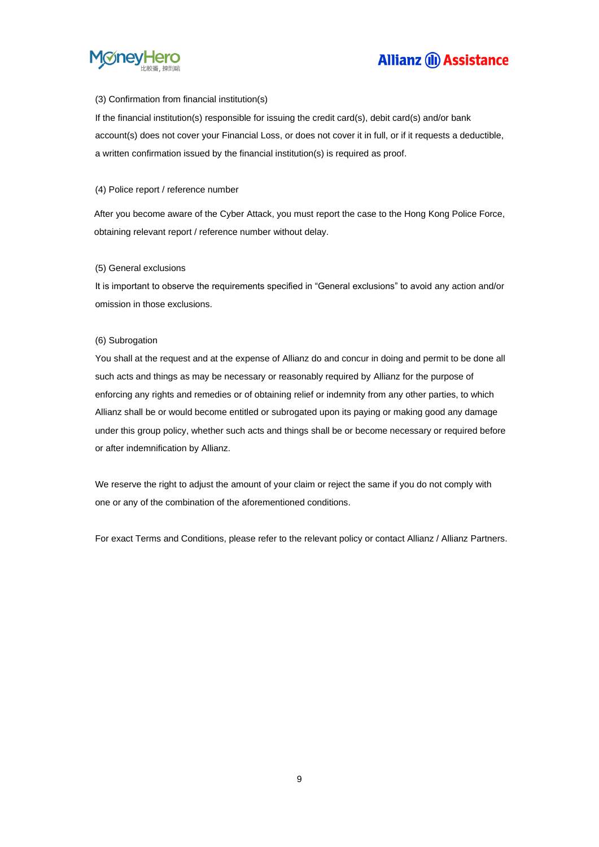

#### (3) Confirmation from financial institution(s)

If the financial institution(s) responsible for issuing the credit card(s), debit card(s) and/or bank account(s) does not cover your Financial Loss, or does not cover it in full, or if it requests a deductible, a written confirmation issued by the financial institution(s) is required as proof.

#### (4) Police report / reference number

After you become aware of the Cyber Attack, you must report the case to the Hong Kong Police Force, obtaining relevant report / reference number without delay.

#### (5) General exclusions

It is important to observe the requirements specified in "General exclusions" to avoid any action and/or omission in those exclusions.

#### (6) Subrogation

You shall at the request and at the expense of Allianz do and concur in doing and permit to be done all such acts and things as may be necessary or reasonably required by Allianz for the purpose of enforcing any rights and remedies or of obtaining relief or indemnity from any other parties, to which Allianz shall be or would become entitled or subrogated upon its paying or making good any damage under this group policy, whether such acts and things shall be or become necessary or required before or after indemnification by Allianz.

We reserve the right to adjust the amount of your claim or reject the same if you do not comply with one or any of the combination of the aforementioned conditions.

For exact Terms and Conditions, please refer to the relevant policy or contact Allianz / Allianz Partners.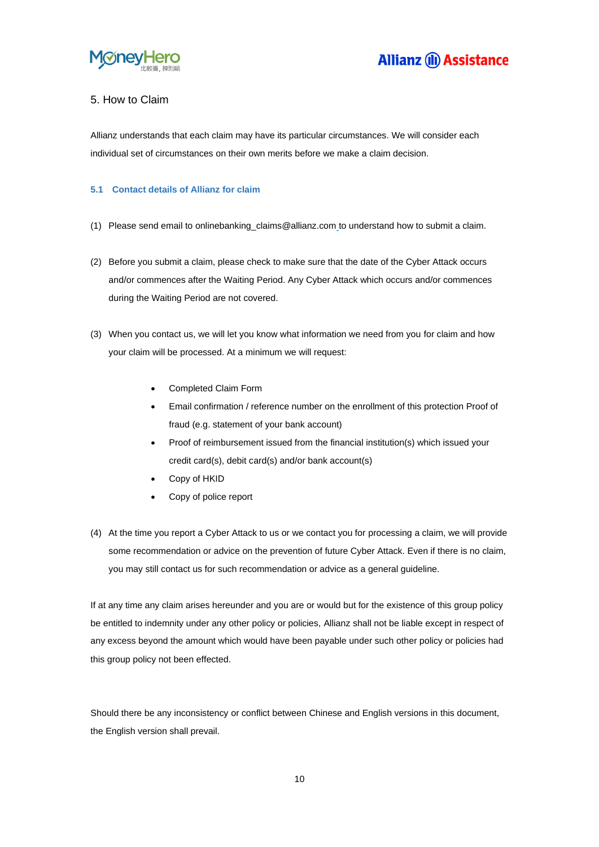

### 5. How to Claim

Allianz understands that each claim may have its particular circumstances. We will consider each individual set of circumstances on their own merits before we make a claim decision.

#### **5.1 Contact details of Allianz for claim**

- (1) Please send email to [onlinebanking\\_claims@allianz.com](mailto:onlinebanking_claims@allianz.com) to understand how to submit a claim.
- (2) Before you submit a claim, please check to make sure that the date of the Cyber Attack occurs and/or commences after the Waiting Period. Any Cyber Attack which occurs and/or commences during the Waiting Period are not covered.
- (3) When you contact us, we will let you know what information we need from you for claim and how your claim will be processed. At a minimum we will request:
	- Completed Claim Form
	- Email confirmation / reference number on the enrollment of this protection Proof of fraud (e.g. statement of your bank account)
	- Proof of reimbursement issued from the financial institution(s) which issued your credit card(s), debit card(s) and/or bank account(s)
	- Copy of HKID
	- Copy of police report
- (4) At the time you report a Cyber Attack to us or we contact you for processing a claim, we will provide some recommendation or advice on the prevention of future Cyber Attack. Even if there is no claim, you may still contact us for such recommendation or advice as a general guideline.

If at any time any claim arises hereunder and you are or would but for the existence of this group policy be entitled to indemnity under any other policy or policies, Allianz shall not be liable except in respect of any excess beyond the amount which would have been payable under such other policy or policies had this group policy not been effected.

Should there be any inconsistency or conflict between Chinese and English versions in this document, the English version shall prevail.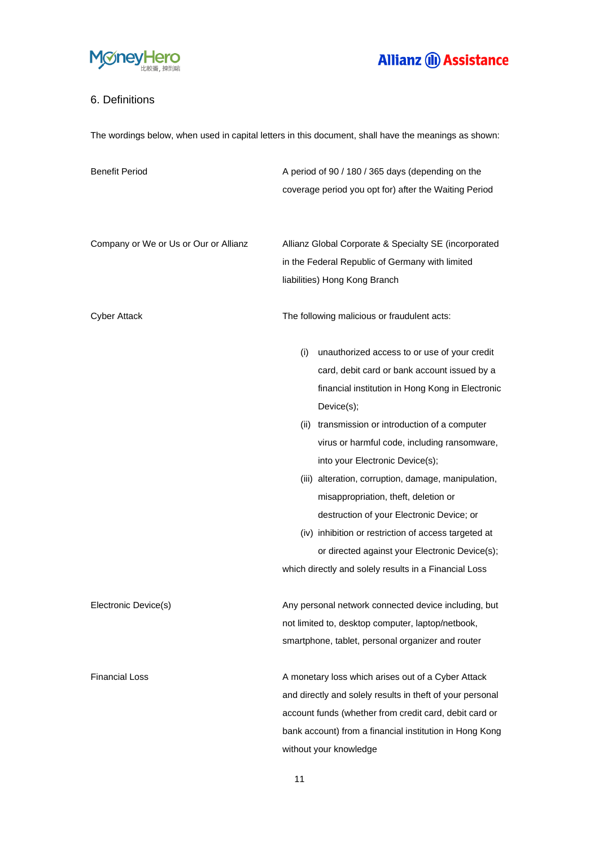

### 6. Definitions

The wordings below, when used in capital letters in this document, shall have the meanings as shown:

| <b>Benefit Period</b>                 | A period of 90 / 180 / 365 days (depending on the         |
|---------------------------------------|-----------------------------------------------------------|
|                                       | coverage period you opt for) after the Waiting Period     |
|                                       |                                                           |
|                                       |                                                           |
| Company or We or Us or Our or Allianz | Allianz Global Corporate & Specialty SE (incorporated     |
|                                       | in the Federal Republic of Germany with limited           |
|                                       | liabilities) Hong Kong Branch                             |
|                                       |                                                           |
| <b>Cyber Attack</b>                   | The following malicious or fraudulent acts:               |
|                                       | unauthorized access to or use of your credit<br>(i)       |
|                                       | card, debit card or bank account issued by a              |
|                                       | financial institution in Hong Kong in Electronic          |
|                                       | Device(s);                                                |
|                                       | (ii) transmission or introduction of a computer           |
|                                       | virus or harmful code, including ransomware,              |
|                                       | into your Electronic Device(s);                           |
|                                       | (iii) alteration, corruption, damage, manipulation,       |
|                                       | misappropriation, theft, deletion or                      |
|                                       | destruction of your Electronic Device; or                 |
|                                       | (iv) inhibition or restriction of access targeted at      |
|                                       | or directed against your Electronic Device(s);            |
|                                       | which directly and solely results in a Financial Loss     |
|                                       |                                                           |
| Electronic Device(s)                  | Any personal network connected device including, but      |
|                                       | not limited to, desktop computer, laptop/netbook,         |
|                                       | smartphone, tablet, personal organizer and router         |
| <b>Financial Loss</b>                 | A monetary loss which arises out of a Cyber Attack        |
|                                       | and directly and solely results in theft of your personal |
|                                       | account funds (whether from credit card, debit card or    |
|                                       | bank account) from a financial institution in Hong Kong   |
|                                       | without your knowledge                                    |

11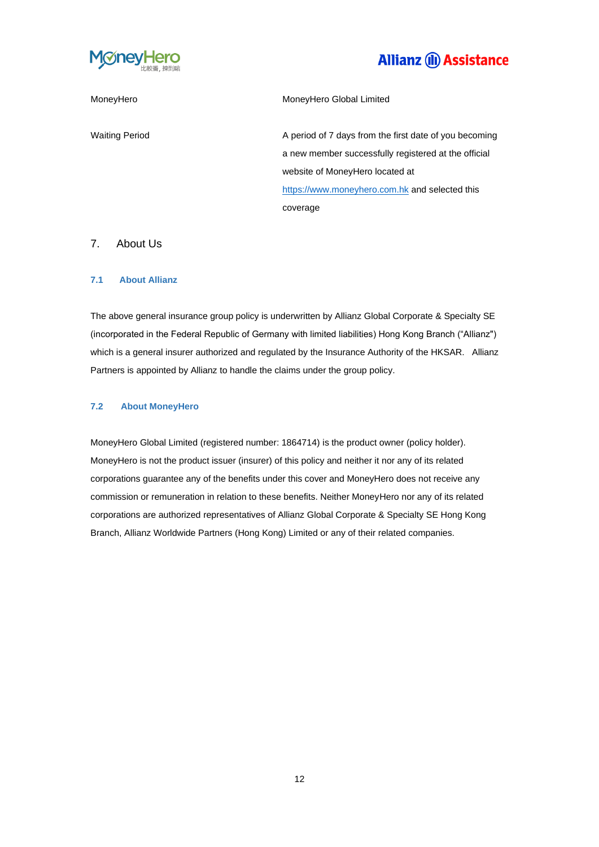

MoneyHero MoneyHero Global Limited

Waiting Period Muslim A period of 7 days from the first date of you becoming a new member successfully registered at the official website of MoneyHero located at [https://www.moneyhero.com.hk](https://www.moneyhero.com.hk/) and selected this coverage

### 7. About Us

#### **7.1 About Allianz**

The above general insurance group policy is underwritten by Allianz Global Corporate & Specialty SE (incorporated in the Federal Republic of Germany with limited liabilities) Hong Kong Branch ("Allianz") which is a general insurer authorized and regulated by the Insurance Authority of the HKSAR. Allianz Partners is appointed by Allianz to handle the claims under the group policy.

#### **7.2 About MoneyHero**

MoneyHero Global Limited (registered number: 1864714) is the product owner (policy holder). MoneyHero is not the product issuer (insurer) of this policy and neither it nor any of its related corporations guarantee any of the benefits under this cover and MoneyHero does not receive any commission or remuneration in relation to these benefits. Neither MoneyHero nor any of its related corporations are authorized representatives of Allianz Global Corporate & Specialty SE Hong Kong Branch, Allianz Worldwide Partners (Hong Kong) Limited or any of their related companies.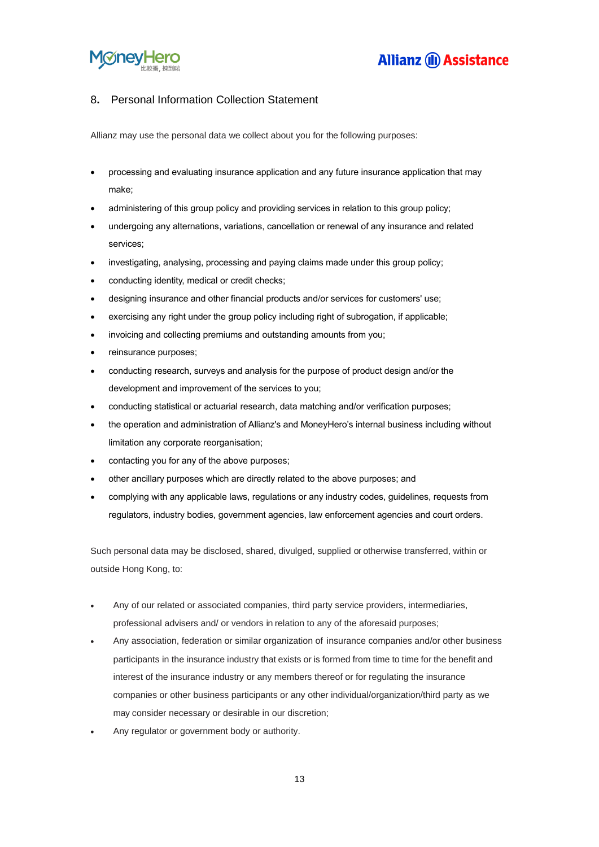

### 8**.** Personal Information Collection Statement

Allianz may use the personal data we collect about you for the following purposes:

- processing and evaluating insurance application and any future insurance application that may make;
- administering of this group policy and providing services in relation to this group policy;
- undergoing any alternations, variations, cancellation or renewal of any insurance and related services;
- investigating, analysing, processing and paying claims made under this group policy;
- conducting identity, medical or credit checks;
- designing insurance and other financial products and/or services for customers' use;
- exercising any right under the group policy including right of subrogation, if applicable;
- invoicing and collecting premiums and outstanding amounts from you;
- reinsurance purposes;
- conducting research, surveys and analysis for the purpose of product design and/or the development and improvement of the services to you;
- conducting statistical or actuarial research, data matching and/or verification purposes;
- the operation and administration of Allianz's and MoneyHero's internal business including without limitation any corporate reorganisation;
- contacting you for any of the above purposes;
- other ancillary purposes which are directly related to the above purposes; and
- complying with any applicable laws, regulations or any industry codes, guidelines, requests from regulators, industry bodies, government agencies, law enforcement agencies and court orders.

Such personal data may be disclosed, shared, divulged, supplied or otherwise transferred, within or outside Hong Kong, to:

- Any of our related or associated companies, third party service providers, intermediaries, professional advisers and/ or vendors in relation to any of the aforesaid purposes;
- Any association, federation or similar organization of insurance companies and/or other business participants in the insurance industry that exists or is formed from time to time for the benefit and interest of the insurance industry or any members thereof or for regulating the insurance companies or other business participants or any other individual/organization/third party as we may consider necessary or desirable in our discretion;
- Any regulator or government body or authority.